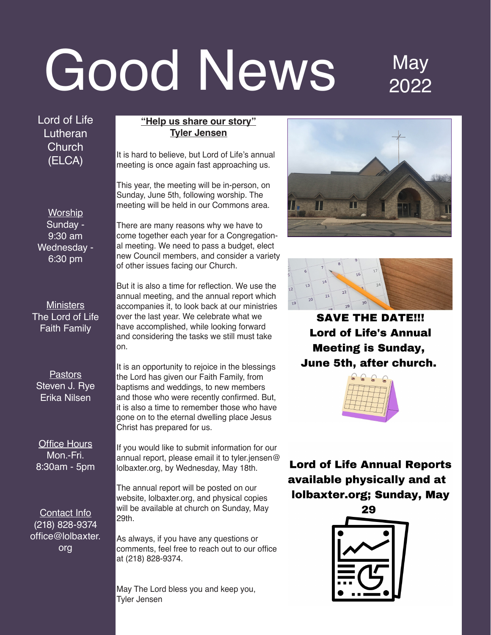# Good News May

### 2022

Lord of Life Lutheran **Church** (ELCA)

**Worship** Sunday - 9:30 am Wednesday - 6:30 pm

**Ministers** The Lord of Life Faith Family

**Pastors** Steven J. Rye Erika Nilsen

**Office Hours** Mon.-Fri. 8:30am - 5pm

Contact Info (218) 828-9374 office@lolbaxter. org

### **"Help us share our story" Tyler Jensen**

It is hard to believe, but Lord of Life's annual meeting is once again fast approaching us.

This year, the meeting will be in-person, on Sunday, June 5th, following worship. The meeting will be held in our Commons area.

There are many reasons why we have to come together each year for a Congregational meeting. We need to pass a budget, elect new Council members, and consider a variety of other issues facing our Church.

But it is also a time for reflection. We use the annual meeting, and the annual report which accompanies it, to look back at our ministries over the last year. We celebrate what we have accomplished, while looking forward and considering the tasks we still must take on.

It is an opportunity to rejoice in the blessings the Lord has given our Faith Family, from baptisms and weddings, to new members and those who were recently confirmed. But, it is also a time to remember those who have gone on to the eternal dwelling place Jesus Christ has prepared for us.

If you would like to submit information for our annual report, please email it to tyler jensen@ lolbaxter.org, by Wednesday, May 18th.

The annual report will be posted on our website, lolbaxter.org, and physical copies will be available at church on Sunday. May 29th.

As always, if you have any questions or comments, feel free to reach out to our office at (218) 828-9374.

May The Lord bless you and keep you, Tyler Jensen





**SAVE THE DATE!!! Lord of Life's Annual Meeting is Sunday,** June 5th, after church.



**Lord of Life Annual Reports** available physically and at **lolbaxter.org; Sunday, May** 

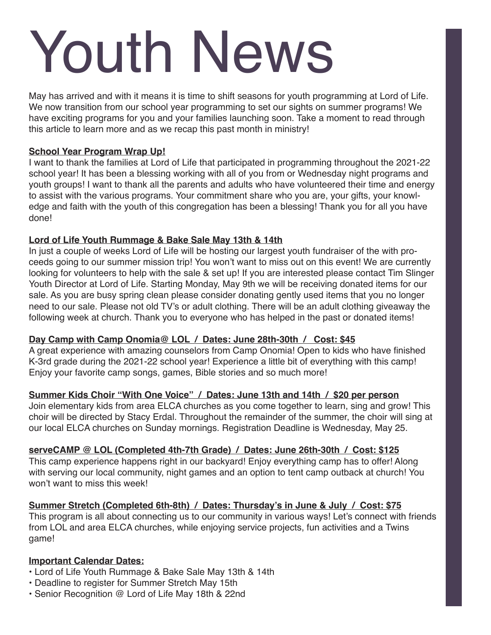# Youth News

May has arrived and with it means it is time to shift seasons for youth programming at Lord of Life. We now transition from our school year programming to set our sights on summer programs! We have exciting programs for you and your families launching soon. Take a moment to read through this article to learn more and as we recap this past month in ministry!

### **School Year Program Wrap Up!**

I want to thank the families at Lord of Life that participated in programming throughout the 2021-22 school year! It has been a blessing working with all of you from or Wednesday night programs and youth groups! I want to thank all the parents and adults who have volunteered their time and energy to assist with the various programs. Your commitment share who you are, your gifts, your knowledge and faith with the youth of this congregation has been a blessing! Thank you for all you have done!

### **Lord of Life Youth Rummage & Bake Sale May 13th & 14th**

In just a couple of weeks Lord of Life will be hosting our largest youth fundraiser of the with proceeds going to our summer mission trip! You won't want to miss out on this event! We are currently looking for volunteers to help with the sale & set up! If you are interested please contact Tim Slinger Youth Director at Lord of Life. Starting Monday, May 9th we will be receiving donated items for our sale. As you are busy spring clean please consider donating gently used items that you no longer need to our sale. Please not old TV's or adult clothing. There will be an adult clothing giveaway the following week at church. Thank you to everyone who has helped in the past or donated items!

### **Day Camp with Camp Onomia@ LOL / Dates: June 28th-30th / Cost: \$45**

A great experience with amazing counselors from Camp Onomia! Open to kids who have finished K-3rd grade during the 2021-22 school year! Experience a little bit of everything with this camp! Enjoy your favorite camp songs, games, Bible stories and so much more!

### **Summer Kids Choir "With One Voice" / Dates: June 13th and 14th / \$20 per person**

Join elementary kids from area ELCA churches as you come together to learn, sing and grow! This choir will be directed by Stacy Erdal. Throughout the remainder of the summer, the choir will sing at our local ELCA churches on Sunday mornings. Registration Deadline is Wednesday, May 25.

### **serveCAMP @ LOL (Completed 4th-7th Grade) / Dates: June 26th-30th / Cost: \$125**

This camp experience happens right in our backyard! Enjoy everything camp has to offer! Along with serving our local community, night games and an option to tent camp outback at church! You won't want to miss this week!

### Summer Stretch (Completed 6th-8th) / Dates: Thursday's in June & July / Cost: \$75

This program is all about connecting us to our community in various ways! Let's connect with friends from LOL and area ELCA churches, while enjoying service projects, fun activities and a Twins game!

### **Important Calendar Dates:**

- Lord of Life Youth Rummage & Bake Sale May 13th & 14th
- Deadline to register for Summer Stretch May 15th
- Senior Recognition  $@$  Lord of Life May 18th & 22nd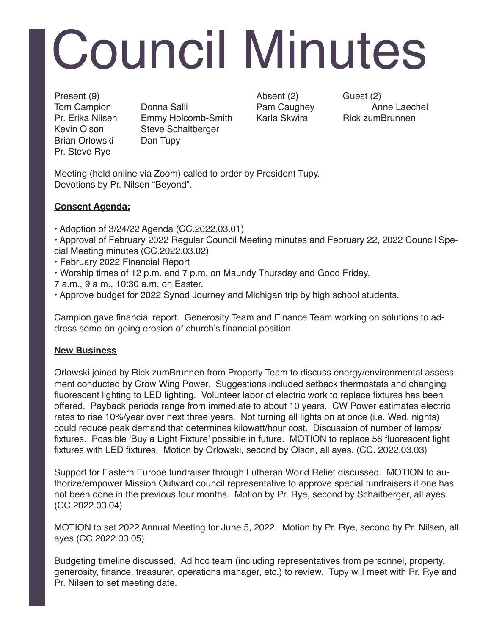# Council Minutes

Brian Orlowski Dan Tupy Pr. Steve Rye

Tom Campion Donna Salli Pam Caughey Anne Laechel Pr. Erika Nilsen Emmy Holcomb-Smith Karla Skwira ... Rick zumBrunnen Kevin Olson Steve Schaitberger

Present (9)  $\qquad \qquad$  Absent (2)  $\qquad \qquad$  Guest (2)

Meeting (held online via Zoom) called to order by President Tupy. Devotions by Pr. Nilsen "Beyond".

### **Consent Agenda:**

• Adoption of 3/24/22 Agenda (CC.2022.03.01)

• Approval of February 2022 Regular Council Meeting minutes and February 22, 2022 Council Special Meeting minutes (CC.2022.03.02)

- February 2022 Financial Report
- Worship times of 12 p.m. and 7 p.m. on Maundy Thursday and Good Friday,
- 7 a.m., 9 a.m., 10:30 a.m. on Easter.
- . Approve budget for 2022 Synod Journey and Michigan trip by high school students.

Campion gave financial report. Generosity Team and Finance Team working on solutions to address some on-going erosion of church's financial position.

### **New Business**

Orlowski joined by Rick zumBrunnen from Property Team to discuss energy/environmental assessment conducted by Crow Wing Power. Suggestions included setback thermostats and changing fluorescent lighting to LED lighting. Volunteer labor of electric work to replace fixtures has been offered. Payback periods range from immediate to about 10 years. CW Power estimates electric rates to rise 10%/year over next three years. Not turning all lights on at once (i.e. Wed. nights) could reduce peak demand that determines kilowatt/hour cost. Discussion of number of lamps/ fixtures. Possible 'Buy a Light Fixture' possible in future. MOTION to replace 58 fluorescent light fixtures with LED fixtures. Motion by Orlowski, second by Olson, all ayes. (CC. 2022.03.03)

Support for Eastern Europe fundraiser through Lutheran World Relief discussed. MOTION to authorize/empower Mission Outward council representative to approve special fundraisers if one has not been done in the previous four months. Motion by Pr. Rye, second by Schaitberger, all ayes. (CC.2022.03.04)

MOTION to set 2022 Annual Meeting for June 5, 2022. Motion by Pr. Rye, second by Pr. Nilsen, all ayes (CC.2022.03.05)

Budgeting timeline discussed. Ad hoc team (including representatives from personnel, property, generosity, finance, treasurer, operations manager, etc.) to review. Tupy will meet with Pr. Rye and Pr. Nilsen to set meeting date.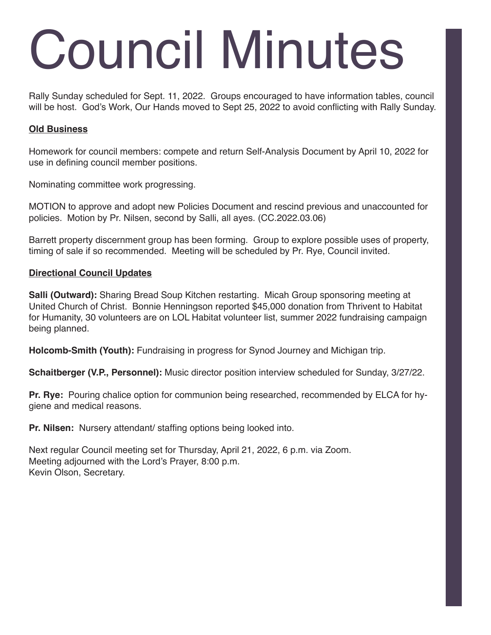## Council Minutes

Rally Sunday scheduled for Sept. 11, 2022. Groups encouraged to have information tables, council will be host. God's Work, Our Hands moved to Sept 25, 2022 to avoid conflicting with Rally Sunday.

### **Old Business**

Homework for council members: compete and return Self-Analysis Document by April 10, 2022 for use in defining council member positions.

Nominating committee work progressing.

MOTION to approve and adopt new Policies Document and rescind previous and unaccounted for policies. Motion by Pr. Nilsen, second by Salli, all ayes. (CC.2022.03.06)

Barrett property discernment group has been forming. Group to explore possible uses of property, timing of sale if so recommended. Meeting will be scheduled by Pr. Rye, Council invited.

### **Directional Council Updates**

**Salli (Outward):** Sharing Bread Soup Kitchen restarting. Micah Group sponsoring meeting at United Church of Christ. Bonnie Henningson reported \$45,000 donation from Thrivent to Habitat for Humanity, 30 volunteers are on LOL Habitat volunteer list, summer 2022 fundraising campaign being planned.

**Holcomb-Smith (Youth):** Fundraising in progress for Synod Journey and Michigan trip.

**Schaitberger (V.P., Personnel):** Music director position interview scheduled for Sunday, 3/27/22.

**Pr. Rye:** Pouring chalice option for communion being researched, recommended by ELCA for hygiene and medical reasons.

**Pr. Nilsen:** Nursery attendant/ staffing options being looked into.

Next regular Council meeting set for Thursday, April 21, 2022, 6 p.m. via Zoom. Meeting adjourned with the Lord's Prayer, 8:00 p.m. Kevin Olson, Secretary.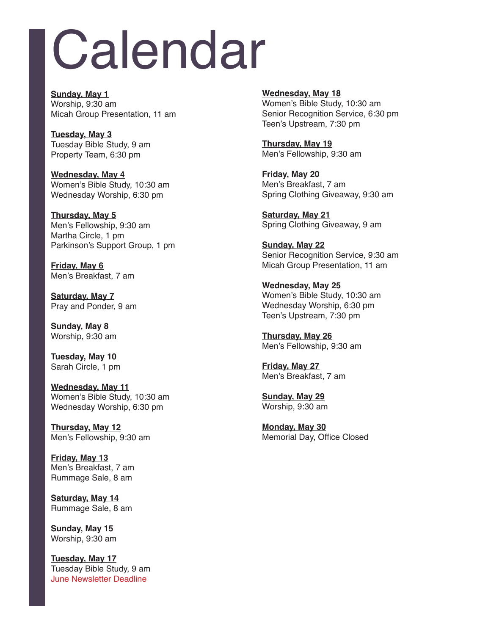## Calendar

**Sunday, May 1** Worship, 9:30 am Micah Group Presentation, 11 am

**Tuesday, May 3** Tuesday Bible Study, 9 am Property Team, 6:30 pm

**Wednesday, May 4** Women's Bible Study, 10:30 am Wednesday Worship, 6:30 pm

**Thursday, May 5** Men's Fellowship, 9:30 am Martha Circle, 1 pm Parkinson's Support Group, 1 pm

**Friday, May 6** Men's Breakfast, 7 am

**Saturday, May 7** Pray and Ponder, 9 am

**Sunday, May 8** Worship, 9:30 am

**Tuesday, May 10** Sarah Circle, 1 pm

**Wednesday, May 11** Women's Bible Study, 10:30 am Wednesday Worship, 6:30 pm

**Thursday, May 12** Men's Fellowship, 9:30 am

**Friday, May 13** Men's Breakfast, 7 am Rummage Sale, 8 am

**Saturday, May 14** Rummage Sale, 8 am

**Sunday, May 15** Worship, 9:30 am

**Tuesday, May 17** Tuesday Bible Study, 9 am June Newsletter Deadline

**Wednesday, May 18** Women's Bible Study, 10:30 am Senior Recognition Service, 6:30 pm Teen's Upstream, 7:30 pm

**Thursday, May 19** Men's Fellowship, 9:30 am

**Friday, May 20** Men's Breakfast, 7 am Spring Clothing Giveaway, 9:30 am

**Saturday, May 21** Spring Clothing Giveaway, 9 am

**Sunday, May 22** Senior Recognition Service, 9:30 am Micah Group Presentation, 11 am

**Wednesday, May 25** Women's Bible Study, 10:30 am Wednesday Worship, 6:30 pm Teen's Upstream, 7:30 pm

**Thursday, May 26** Men's Fellowship, 9:30 am

**Friday, May 27** Men's Breakfast, 7 am

**Sunday, May 29** Worship, 9:30 am

**Monday, May 30** Memorial Day, Office Closed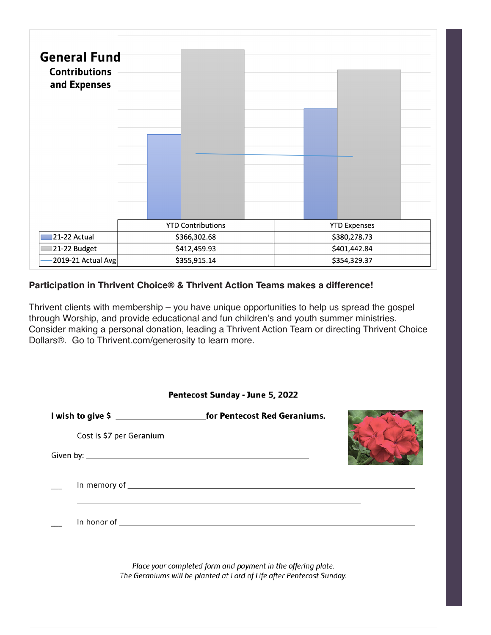

### **Participation in Thrivent Choice® & Thrivent Action Teams makes a difference!**

Thrivent clients with membership  $-$  you have unique opportunities to help us spread the gospel through Worship, and provide educational and fun children's and youth summer ministries. Consider making a personal donation, leading a Thrivent Action Team or directing Thrivent Choice Dollars®. Go to Thrivent.com/generosity to learn more.

| Pentecost Sunday - June 5, 2022 |                          |                                                                                  |  |
|---------------------------------|--------------------------|----------------------------------------------------------------------------------|--|
|                                 |                          |                                                                                  |  |
|                                 | Cost is \$7 per Geranium |                                                                                  |  |
|                                 |                          |                                                                                  |  |
|                                 |                          | ,我们就会在这里,我们就会在这里的时候,我们就会在这里,我们就会在这里的时候,我们就会在这里,我们就会在这里,我们就会在这里,我们就会在这里,我们就会在这里,我 |  |
|                                 |                          |                                                                                  |  |
|                                 |                          | Place your completed form and payment in the offering plate.                     |  |

The Geraniums will be planted at Lord of Life after Pentecost Sunday.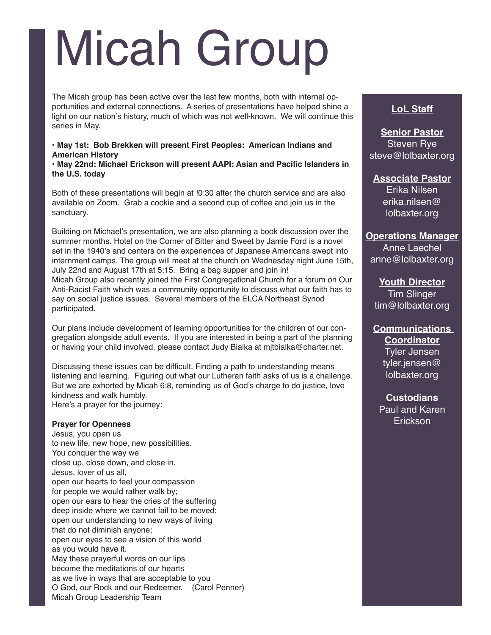### Micah Group

The Micah group has been active over the last few months, both with internal opportunities and external connections. A series of presentations have helped shine a light on our nation's history, much of which was not well-known. We will continue this series in May.

### **• May 1st: Bob Brekken will present First Peoples: American Indians and American History**

**· May 22nd: Michael Erickson will present AAPI: Asian and Pacific Islanders in the U.S. today**

Both of these presentations will begin at !0:30 after the church service and are also available on Zoom. Grab a cookie and a second cup of coffee and join us in the sanctuary.

Building on Michael's presentation, we are also planning a book discussion over the summer months. Hotel on the Corner of Bitter and Sweet by Jamie Ford is a novel set in the 1940's and centers on the experiences of Japanese Americans swept into internment camps. The group will meet at the church on Wednesday night June 15th, July 22nd and August 17th at 5:15. Bring a bag supper and join in! Micah Group also recently joined the First Congregational Church for a forum on Our Anti-Racist Faith which was a community opportunity to discuss what our faith has to say on social justice issues. Several members of the ELCA Northeast Synod participated.

Our plans include development of learning opportunities for the children of our congregation alongside adult events. If you are interested in being a part of the planning or having your child involved, please contact Judy Bialka at mitbialka@charter.net.

Discussing these issues can be difficult. Finding a path to understanding means listening and learning. Figuring out what our Lutheran faith asks of us is a challenge. But we are exhorted by Micah 6:8, reminding us of God's charge to do justice, love kindness and walk humbly. Here's a prayer for the journey:

### **Prayer for Openness**

Jesus, vou open us to new life, new hope, new possibilities. You conquer the way we close up, close down, and close in. Jesus, lover of us all, open our hearts to feel your compassion for people we would rather walk by; open our ears to hear the cries of the suffering deep inside where we cannot fail to be moved; open our understanding to new ways of living that do not diminish anyone; open our eyes to see a vision of this world as you would have it. May these prayerful words on our lips become the meditations of our hearts as we live in ways that are acceptable to you O God, our Rock and our Redeemer. (Carol Penner) Micah Group Leadership Team

### **LoL Staff**

**Senior Pastor** Steven Rye steve@lolbaxter.org

**Associate Pastor** Erika Nilsen  $er$ ika.nilsen $@$ lolbaxter.org

### **Operations Manager**

Anne Laechel anne@lolbaxter.org

**Youth Director** Tim Slinger tim@lolbaxter.org

**Communications Coordinator** Tyler Jensen tyler.jensen $@$ lolbaxter.org

**Custodians** Paul and Karen Erickson